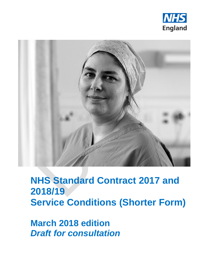



## **NHS Standard Contract 2017 and 2018/19 Service Conditions (Shorter Form)**

**March 2018 edition** *Draft for consultation*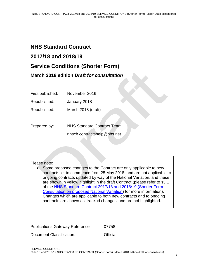## **NHS Standard Contract 2017/18 and 2018/19 Service Conditions (Shorter Form) March 2018 edition** *Draft for consultation*

First published: November 2016

Republished: January 2018

Republished: March 2018 (draft)

Prepared by: NHS Standard Contract Team nhscb.contractshelp@nhs.net

## Please note:

• Some proposed changes to the Contract are only applicable to new contracts let to commence from 25 May 2018, and are not applicable to ongoing contracts updated by way of the National Variation, and these are shown in yellow highlight in the draft Contract (please refer to s3.1 of the [NHS Standard Contract 2017/18 and 2018/19 \(Shorter Form](https://www.england.nhs.uk/nhs-standard-contract/2017-19-update-march/) [Consultation on proposed National Variation\)](https://www.england.nhs.uk/nhs-standard-contract/2017-19-update-march/) for more information). Changes which are applicable to both new contracts and to ongoing contracts are shown as 'tracked changes' and are not highlighted.

| <b>Publications Gateway Reference:</b> | 07758    |
|----------------------------------------|----------|
| Document Classification:               | Official |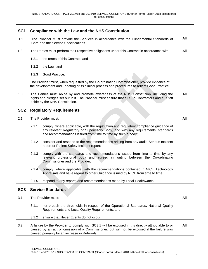| SC <sub>1</sub> | <b>Compliance with the Law and the NHS Constitution</b>                                                                                                                                                                                             |     |
|-----------------|-----------------------------------------------------------------------------------------------------------------------------------------------------------------------------------------------------------------------------------------------------|-----|
| 1.1             | The Provider must provide the Services in accordance with the Fundamental Standards of<br>Care and the Service Specifications.                                                                                                                      | All |
| 1.2             | The Parties must perform their respective obligations under this Contract in accordance with:                                                                                                                                                       | All |
|                 | 1.2.1<br>the terms of this Contract; and                                                                                                                                                                                                            |     |
|                 | 1.2.2<br>the Law; and                                                                                                                                                                                                                               |     |
|                 | 1.2.3<br>Good Practice.                                                                                                                                                                                                                             |     |
|                 | The Provider must, when requested by the Co-ordinating Commissioner, provide evidence of<br>the development and updating of its clinical process and procedures to reflect Good Practice.                                                           |     |
| 1.3             | The Parties must abide by and promote awareness of the NHS Constitution, including the<br>rights and pledges set out in it. The Provider must ensure that all Sub-Contractors and all Staff<br>abide by the NHS Constitution.                       | All |
| SC <sub>2</sub> | <b>Regulatory Requirements</b>                                                                                                                                                                                                                      |     |
| 2.1             | The Provider must:                                                                                                                                                                                                                                  | All |
|                 | 2.1.1<br>comply, where applicable, with the registration and regulatory compliance guidance of<br>any relevant Regulatory or Supervisory Body, and with any requirements, standards<br>and recommendations issued from time to time by such a body; |     |
|                 | 2.1.2<br>consider and respond to the recommendations arising from any audit, Serious Incident<br>report or Patient Safety Incident report;                                                                                                          |     |
|                 | 2.1.3<br>comply with the standards and recommendations issued from time to time by any<br>relevant professional body and agreed in writing between the Co-ordinating<br>Commissioner and the Provider;                                              |     |
|                 | 2.1.4<br>comply, where applicable, with the recommendations contained in NICE Technology<br>Appraisals and have regard to other Guidance issued by NICE from time to time;                                                                          |     |
|                 | respond to any reports and recommendations made by Local Healthwatch.<br>2.1.5                                                                                                                                                                      |     |
| SC <sub>3</sub> | <b>Service Standards</b>                                                                                                                                                                                                                            |     |
| 3.1             | The Provider must:                                                                                                                                                                                                                                  | All |
|                 | 3.1.1<br>not breach the thresholds in respect of the Operational Standards, National Quality<br>Requirements and Local Quality Requirements; and                                                                                                    |     |
|                 | 3.1.2<br>ensure that Never Events do not occur.                                                                                                                                                                                                     |     |
| 3.2             | A failure by the Provider to comply with SC3.1 will be excused if it is directly attributable to or<br>caused by an act or omission of a Commissioner, but will not be excused if the failure was<br>caused primarily by an increase in Referrals.  | All |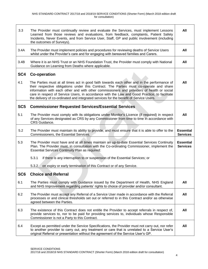| 3.3             | The Provider must continually review and evaluate the Services, must implement Lessons<br>Learned from those reviews and evaluations, from feedback, complaints, Patient Safety<br>Incidents, Never Events, and from Service User, Staff, GP and public involvement (including<br>the outcomes of Surveys).                                                                                                                                                                      | All                                 |
|-----------------|----------------------------------------------------------------------------------------------------------------------------------------------------------------------------------------------------------------------------------------------------------------------------------------------------------------------------------------------------------------------------------------------------------------------------------------------------------------------------------|-------------------------------------|
| 3.4A            | The Provider must implement policies and procedures for reviewing deaths of Service Users<br>whilst under the Provider's care and for engaging with bereaved families and Carers.                                                                                                                                                                                                                                                                                                | All                                 |
| 3.4B            | Where it is an NHS Trust or an NHS Foundation Trust, the Provider must comply with National<br>Guidance on Learning from Deaths where applicable.                                                                                                                                                                                                                                                                                                                                | All                                 |
| SC <sub>4</sub> | <b>Co-operation</b>                                                                                                                                                                                                                                                                                                                                                                                                                                                              |                                     |
| 4.1             | The Parties must at all times act in good faith towards each other and in the performance of<br>their respective obligations under this Contract. The Parties must co-operate and share<br>information with each other and with other commissioners and providers of health or social<br>care in respect of Service Users, in accordance with the Law and Good Practice, to facilitate<br>the delivery of co-ordinated and integrated services for the benefit of Service Users. | All                                 |
| SC <sub>5</sub> | <b>Commissioner Requested Services/Essential Services</b>                                                                                                                                                                                                                                                                                                                                                                                                                        |                                     |
| 5.1             | The Provider must comply with its obligations under Monitor's Licence (if required) in respect<br>of any Services designated as CRS by any Commissioner from time to time in accordance with<br>CRS Guidance.                                                                                                                                                                                                                                                                    | All                                 |
| 5.2             | The Provider must maintain its ability to provide, and must ensure that it is able to offer to the<br>Commissioners, the Essential Services.                                                                                                                                                                                                                                                                                                                                     | <b>Essential</b><br><b>Services</b> |
| 5.3             | The Provider must have and at all times maintain an up-to-date Essential Services Continuity<br>Plan. The Provider must, in consultation with the Co-ordinating Commissioner, implement the<br><b>Essential Services Continuity Plan as required:</b>                                                                                                                                                                                                                            | <b>Essential</b><br><b>Services</b> |
|                 | 5.3.1<br>if there is any interruption to or suspension of the Essential Services; or                                                                                                                                                                                                                                                                                                                                                                                             |                                     |
|                 | 5.3.2<br>on expiry or early termination of this Contract or of any Service.                                                                                                                                                                                                                                                                                                                                                                                                      |                                     |
| SC <sub>6</sub> | <b>Choice and Referral</b>                                                                                                                                                                                                                                                                                                                                                                                                                                                       |                                     |
| 6.1             | The Parties must comply with Guidance issued by the Department of Health, NHS England<br>and NHS Improvement regarding patients' rights to choice of provider and/or consultant.                                                                                                                                                                                                                                                                                                 | All                                 |
| 6.2             | The Provider must accept any Referral of a Service User made in accordance with the Referral<br>processes or and clinical thresholds set out or referred to in this Contract and/or as otherwise<br>agreed between the Parties.                                                                                                                                                                                                                                                  | All                                 |
| 6.3             | The existence of this Contract does not entitle the Provider to accept referrals in respect of,<br>provide services to, nor to be paid for providing services to, individuals whose Responsible<br>Commissioner is not a Party to this Contract.                                                                                                                                                                                                                                 | All                                 |
| 6.4             | Except as permitted under the Service Specifications, the Provider must not carry out, nor refer<br>to another provider to carry out, any treatment or care that is unrelated to a Service User's<br>original Referral or presentation without the agreement of the Service User's GP.                                                                                                                                                                                           | All                                 |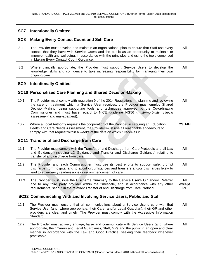| SC7             | <b>Intentionally Omitted</b>                                                                                                                                                                                                                                                                                                                                                                        |                            |
|-----------------|-----------------------------------------------------------------------------------------------------------------------------------------------------------------------------------------------------------------------------------------------------------------------------------------------------------------------------------------------------------------------------------------------------|----------------------------|
| SC <sub>8</sub> | <b>Making Every Contact Count and Self Care</b>                                                                                                                                                                                                                                                                                                                                                     |                            |
| 8.1             | The Provider must develop and maintain an organisational plan to ensure that Staff use every<br>contact that they have with Service Users and the public as an opportunity to maintain or<br>improve health and wellbeing, in accordance with the principles and using the tools comprised<br>in Making Every Contact Count Guidance.                                                               | All                        |
| 8.2             | Where clinically appropriate, the Provider must support Service Users to develop the<br>knowledge, skills and confidence to take increasing responsibility for managing their own<br>ongoing care.                                                                                                                                                                                                  | All                        |
| SC <sub>9</sub> | <b>Intentionally Omitted</b>                                                                                                                                                                                                                                                                                                                                                                        |                            |
|                 | SC10 Personalised Care Planning and Shared Decision-Making                                                                                                                                                                                                                                                                                                                                          |                            |
| 10.1            | The Provider must comply with regulation 9 of the 2014 Regulations. In planning and reviewing<br>the care or treatment which a Service User receives, the Provider must employ Shared<br>Decision-Making, using supporting tools and techniques approved by the Co-ordinating<br>Commissioner and must have regard to NICE guideline NG56 (multi-morbidity, clinical<br>assessment and management). | All                        |
| 10.2            | Where a Local Authority requests the cooperation of the Provider in securing an Education,<br>Health and Care Needs Assessment, the Provider must use all reasonable endeavours to<br>comply with that request within 6 weeks of the date on which it receives it.                                                                                                                                  | CS, MH                     |
|                 | <b>SC11 Transfer of and Discharge from Care</b>                                                                                                                                                                                                                                                                                                                                                     |                            |
| 11.1            | The Provider must comply with the Transfer of and Discharge from Care Protocols and all Law<br>and Guidance (including LD Guidance and Transfer and Discharge Guidance) relating to<br>transfer of and discharge from care.                                                                                                                                                                         | All                        |
| 11.2            | The Provider and each Commissioner must use its best efforts to support safe, prompt<br>discharge from hospital and to avoid circumstances and transfers and/or discharges likely to<br>lead to emergency readmissions or recommencement of care.                                                                                                                                                   | All                        |
| 11.3            | The Provider must issue the Discharge Summary to the Service User's GP and/or Referrer<br>and to any third party provider within the timescale, and in accordance with any other<br>requirements, set out in the relevant Transfer of and Discharge from Care Protocol.                                                                                                                             | All<br>except<br><b>PT</b> |
|                 | SC12 Communicating With and Involving Service Users, Public and Staff                                                                                                                                                                                                                                                                                                                               |                            |
| 12.1            | The Provider must ensure that all communications about a Service User's care with that<br>Service User (and, where appropriate, their Carer and/or Legal Guardian), their GP and other<br>providers are clear and timely. The Provider must comply with the Accessible Information<br>Standard.                                                                                                     | All                        |
| 12.2            | The Provider must actively engage, liaise and communicate with Service Users (and, where<br>appropriate, their Carers and Legal Guardians), Staff, GPs and the public in an open and clear<br>manner in accordance with the Law and Good Practice, seeking their feedback whenever<br>practicable.                                                                                                  | All                        |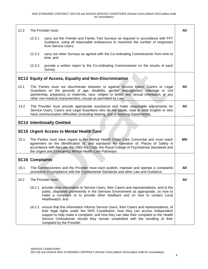| 12.3 |                        | The Provider must:                                                                                                                                                                                                                                                                                                                                                                      | All |
|------|------------------------|-----------------------------------------------------------------------------------------------------------------------------------------------------------------------------------------------------------------------------------------------------------------------------------------------------------------------------------------------------------------------------------------|-----|
|      | 12.3.1                 | carry out the Friends and Family Test Surveys as required in accordance with FFT<br>Guidance, using all reasonable endeavours to maximise the number of responses<br>from Service Users;                                                                                                                                                                                                |     |
|      | 12.3.2                 | carry out other Surveys as agreed with the Co-ordinating Commissioner from time to<br>time; and                                                                                                                                                                                                                                                                                         |     |
|      | 12.3.3                 | provide a written report to the Co-ordinating Commissioner on the results of each<br>Survey.                                                                                                                                                                                                                                                                                            |     |
|      |                        | SC13 Equity of Access, Equality and Non-Discrimination                                                                                                                                                                                                                                                                                                                                  |     |
| 13.1 |                        | The Parties must not discriminate between or against Service Users, Carers or Legal<br>Guardians on the grounds of age, disability, gender reassignment, marriage or civil<br>partnership, pregnancy or maternity, race, religion or belief, sex, sexual orientation, or any<br>other non-medical characteristics, except as permitted by Law.                                          | All |
| 13.2 |                        | The Provider must provide appropriate assistance and make reasonable adjustments for<br>Service Users, Carers and Legal Guardians who do not speak, read or write English or who<br>have communication difficulties (including hearing, oral or learning impairments).                                                                                                                  | All |
|      |                        | <b>SC14 Intentionally Omitted</b>                                                                                                                                                                                                                                                                                                                                                       |     |
|      |                        | <b>SC15 Urgent Access to Mental Health Care</b>                                                                                                                                                                                                                                                                                                                                         |     |
| 15.1 |                        | The Parties must have regard to the Mental Health Crisis Care Concordat and must reach<br>agreement on the identification of, and standards for operation of, Places of Safety in<br>accordance with the Law, the 1983 Act Code, the Royal College of Psychiatrists Standards and<br>the Urgent and Emergency Mental Health Care Pathways.                                              | MН  |
|      | <b>SC16 Complaints</b> |                                                                                                                                                                                                                                                                                                                                                                                         |     |
| 16.1 |                        | The Commissioners and the Provider must each publish, maintain and operate a complaints<br>procedure in compliance with the Fundamental Standards and other Law and Guidance.                                                                                                                                                                                                           | All |
| 16.2 |                        | The Provider must:                                                                                                                                                                                                                                                                                                                                                                      | All |
|      | 16.2.1                 | provide clear information to Service Users, their Carers and representatives, and to the<br>public, displayed prominently in the Services Environment as appropriate, on how to<br>make a complaint or to provide other feedback and on how to contact Local<br>Healthwatch; and                                                                                                        |     |
|      |                        | 16.2.2 ensure that this information informs Service Users, their Carers and representatives, of<br>their legal rights under the NHS Constitution, how they can access independent<br>support to help make a complaint, and how they can take their complaint to the Health<br>Service Ombudsman should they remain unsatisfied with the handling of their<br>complaint by the Provider. |     |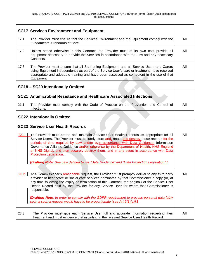|      | <b>SC17 Services Environment and Equipment</b>                                                                                                                                                                                                                                                                                                                                                                                                                                                                                                                                                   |     |
|------|--------------------------------------------------------------------------------------------------------------------------------------------------------------------------------------------------------------------------------------------------------------------------------------------------------------------------------------------------------------------------------------------------------------------------------------------------------------------------------------------------------------------------------------------------------------------------------------------------|-----|
|      |                                                                                                                                                                                                                                                                                                                                                                                                                                                                                                                                                                                                  |     |
| 17.1 | The Provider must ensure that the Services Environment and the Equipment comply with the<br>Fundamental Standards of Care.                                                                                                                                                                                                                                                                                                                                                                                                                                                                       | All |
| 17.2 | Unless stated otherwise in this Contract, the Provider must at its own cost provide all<br>Equipment necessary to provide the Services in accordance with the Law and any necessary<br>Consents.                                                                                                                                                                                                                                                                                                                                                                                                 | All |
| 17.3 | The Provider must ensure that all Staff using Equipment, and all Service Users and Carers<br>using Equipment independently as part of the Service User's care or treatment, have received<br>appropriate and adequate training and have been assessed as competent in the use of that<br>Equipment.                                                                                                                                                                                                                                                                                              | All |
|      | SC18 - SC20 Intentionally Omitted                                                                                                                                                                                                                                                                                                                                                                                                                                                                                                                                                                |     |
|      | SC21 Antimicrobial Resistance and Healthcare Associated Infections                                                                                                                                                                                                                                                                                                                                                                                                                                                                                                                               |     |
| 21.1 | The Provider must comply with the Code of Practice on the Prevention and Control of<br>Infections.                                                                                                                                                                                                                                                                                                                                                                                                                                                                                               | All |
|      | <b>SC22 Intentionally Omitted</b>                                                                                                                                                                                                                                                                                                                                                                                                                                                                                                                                                                |     |
|      | <b>SC23 Service User Health Records</b>                                                                                                                                                                                                                                                                                                                                                                                                                                                                                                                                                          |     |
| 23.1 | The Provider must create and maintain Service User Health Records as appropriate for all<br>Service Users. The Provider must securely store-and, retain and destroy those records for the<br>periods of time required by Law and/or byin accordance with Data Guidance, Information<br>Governance Alliance Guidance and/or otherwise by the Department of Health, NHS England<br>or NHS Digital, and then securely destroy them. and in any event in accordance with Data<br>Protection Legislation.<br>[Drafting Note: See new defined terms "Data Guidance" and "Data Protection Legislation"] | All |
|      |                                                                                                                                                                                                                                                                                                                                                                                                                                                                                                                                                                                                  |     |
| 23.2 | At a Commissioner's reasonable request, the Provider must promptly deliver to any third party<br>provider of healthcare or social care services nominated by that Commissioner a copy (or, at<br>any time following the expiry or termination of this Contract, the original) of the Service User<br>Health Record held by the Provider for any Service User for whom that Commissioner is<br>responsible.<br><b>[Drafting Note: In order to comply with the GDPR requirement to process personal data fairly</b><br>such a such a request would have to be proportionate (see Art $5(1)(a)$ ).] | All |
| 23.3 | The Provider must give each Service User full and accurate information regarding their<br>treatment and must evidence that in writing in the relevant Service User Health Record.                                                                                                                                                                                                                                                                                                                                                                                                                | All |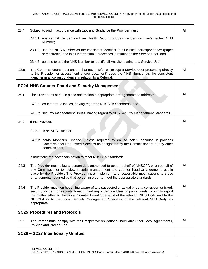| 23.4 | Subject to and in accordance with Law and Guidance the Provider must                                                                                                                                                                                                                                                                                                                                 | All |
|------|------------------------------------------------------------------------------------------------------------------------------------------------------------------------------------------------------------------------------------------------------------------------------------------------------------------------------------------------------------------------------------------------------|-----|
|      | 23.4.1 ensure that the Service User Health Record includes the Service User's verified NHS<br>Number;                                                                                                                                                                                                                                                                                                |     |
|      | 23.4.2 use the NHS Number as the consistent identifier in all clinical correspondence (paper<br>or electronic) and in all information it processes in relation to the Service User; and                                                                                                                                                                                                              |     |
|      | 23.4.3 be able to use the NHS Number to identify all Activity relating to a Service User.                                                                                                                                                                                                                                                                                                            |     |
| 23.5 | The Commissioners must ensure that each Referrer (except a Service User presenting directly<br>to the Provider for assessment and/or treatment) uses the NHS Number as the consistent<br>identifier in all correspondence in relation to a Referral.                                                                                                                                                 | All |
|      | <b>SC24 NHS Counter-Fraud and Security Management</b>                                                                                                                                                                                                                                                                                                                                                |     |
| 24.1 | The Provider must put in place and maintain appropriate arrangements to address:                                                                                                                                                                                                                                                                                                                     | All |
|      | 24.1.1 counter fraud issues, having regard to NHSCFA Standards; and                                                                                                                                                                                                                                                                                                                                  |     |
|      | 24.1.2 security management issues, having regard to NHS Security Management Standards.                                                                                                                                                                                                                                                                                                               |     |
| 24.2 | If the Provider:                                                                                                                                                                                                                                                                                                                                                                                     | All |
|      | 24.2.1 is an NHS Trust; or                                                                                                                                                                                                                                                                                                                                                                           |     |
|      | 24.2.2 holds Monitor's Licence (unless required to do so solely because it provides<br>Commissioner Requested Services as designated by the Commissioners or any other<br>commissioner),                                                                                                                                                                                                             |     |
|      | it must take the necessary action to meet NHSCFA Standards.                                                                                                                                                                                                                                                                                                                                          |     |
| 24.3 | The Provider must allow a person duly authorised to act on behalf of NHSCFA or on behalf of<br>any Commissioner to review security management and counter fraud arrangements put in<br>place by the Provider. The Provider must implement any reasonable modifications to those<br>arrangements required by that person in order to meet the appropriate standards.                                  | All |
| 24.4 | The Provider must, on becoming aware of any suspected or actual bribery, corruption or fraud,<br>security incident or security breach involving a Service User or public funds, promptly report<br>the matter either to the Local Counter Fraud Specialist of the relevant NHS Body and to the<br>NHSCFA or to the Local Security Management Specialist of the relevant NHS Body, as<br>appropriate. | All |
|      | <b>SC25 Procedures and Protocols</b>                                                                                                                                                                                                                                                                                                                                                                 |     |
| 25.1 | The Parties must comply with their respective obligations under any Other Local Agreements,<br>Policies and Procedures.                                                                                                                                                                                                                                                                              | All |
|      | SC26 - SC27 Intentionally Omitted                                                                                                                                                                                                                                                                                                                                                                    |     |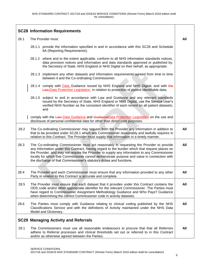|      | <b>SC28 Information Requirements</b>                                                                                                                                                                                                                                                                                                                                                                                                                             |     |
|------|------------------------------------------------------------------------------------------------------------------------------------------------------------------------------------------------------------------------------------------------------------------------------------------------------------------------------------------------------------------------------------------------------------------------------------------------------------------|-----|
| 28.1 | The Provider must:                                                                                                                                                                                                                                                                                                                                                                                                                                               | All |
|      | 28.1.1 provide the information specified in and in accordance with this SC28 and Schedule<br>6A (Reporting Requirements);                                                                                                                                                                                                                                                                                                                                        |     |
|      | 28.1.2 where and to the extent applicable, conform to all NHS information standards notices,<br>data provision notices and information and data standards approved or published by,<br>the Secretary of State, NHS England or NHS Digital on their behalf, as appropriate;                                                                                                                                                                                       |     |
|      | 28.1.3 implement any other datasets and information requirements agreed from time to time<br>between it and the Co-ordinating Commissioner;                                                                                                                                                                                                                                                                                                                      |     |
|      | 28.1.4 comply with <b>Data Guidance issued by NHS England and NHS Digital</b> , and with the<br>Law, Data Protection Legislation in relation to protection of patient identifiable data;                                                                                                                                                                                                                                                                         |     |
|      | 28.1.5 subject to and in accordance with Law and Guidance and any relevant standards<br>issued by the Secretary of State, NHS England or NHS Digital, use the Service User's<br>verified NHS Number as the consistent identifier of each record on all patient datasets;<br>and                                                                                                                                                                                  |     |
|      | comply with the Law-Data Guidance and Guidance Data Protection Legislation on the use and<br>disclosure of personal confidential data for other than direct care purposes.                                                                                                                                                                                                                                                                                       |     |
| 28.2 | The Co-ordinating Commissioner may request from the Provider any information in addition to<br>that to be provided under SC28.1 which any Commissioner reasonably and lawfully requires in<br>relation to this Contract. The Provider must supply that information in a timely manner.                                                                                                                                                                           | All |
| 28.3 | The Co-ordinating Commissioner must act reasonably in requesting the Provider to provide<br>any information under this Contract, having regard to the burden which that request places on<br>the Provider, and may not require the Provider to supply any information to any Commissioner<br>locally for which that Commissioner cannot demonstrate purpose and value in connection with<br>the discharge of that Commissioner's statutory duties and functions. | All |
| 28.4 | The Provider and each Commissioner must ensure that any information provided to any other<br>Party in relation to this Contract is accurate and complete.                                                                                                                                                                                                                                                                                                        | All |
| 28.5 | The Provider must ensure that each dataset that it provides under this Contract contains the<br>ODS code and/or other appropriate identifier for the relevant Commissioner. The Parties must<br>have regard to Commissioner Assignment Methodology Guidance and Who Pays? Guidance<br>when determining the correct Commissioner code in activity datasets.                                                                                                       | All |
| 28.6 | The Parties must comply with Guidance relating to clinical coding published by the NHS<br>Classifications Service and with the definitions of Activity maintained under the NHS Data<br>Model and Dictionary.                                                                                                                                                                                                                                                    | All |
|      | <b>SC29 Managing Activity and Referrals</b>                                                                                                                                                                                                                                                                                                                                                                                                                      |     |
| 29.1 | The Commissioners must use all reasonable endeavours to procure that that all Referrers<br>adhere to Referral processes and clinical thresholds set out or referred to in this Contract<br>and/or as otherwise agreed between the Parties.                                                                                                                                                                                                                       | All |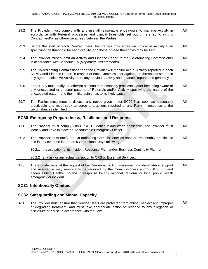| 29.2 | The Provider must comply with and use all reasonable endeavours to manage Activity in<br>accordance with Referral processes and clinical thresholds set out or referred to in this<br>Contract and/or as otherwise agreed between the Parties.                                                          | All |
|------|---------------------------------------------------------------------------------------------------------------------------------------------------------------------------------------------------------------------------------------------------------------------------------------------------------|-----|
| 29.3 | Before the start of each Contract Year, the Parties may agree an Indicative Activity Plan<br>specifying the threshold for each activity (and those agreed thresholds may be zero).                                                                                                                      | All |
| 29.4 | The Provider must submit an Activity and Finance Report to the Co-ordinating Commissioner<br>in accordance with Schedule 6A (Reporting Requirements).                                                                                                                                                   | All |
| 29.5 | The Co-ordinating Commissioner and the Provider will monitor actual Activity reported in each<br>Activity and Finance Report in respect of each Commissioner against the thresholds set out in<br>any agreed Indicative Activity Plan, any previous Activity and Finance Reports and generally.         | All |
| 29.6 | Each Party must notify the other(s) as soon as reasonably practicable after becoming aware of<br>any unexpected or unusual patterns of Referrals and/or Activity specifying the nature of the<br>unexpected pattern and their initial opinion as to its likely cause.                                   | All |
| 29.7 | The Parties must meet to discuss any notice given under SC29.6 as soon as reasonably<br>practicable and must seek to agree any actions required of any Party in response to the<br>circumstances identified.                                                                                            | All |
|      | SC30 Emergency Preparedness, Resilience and Response                                                                                                                                                                                                                                                    |     |
| 30.1 | The Provider must comply with EPRR Guidance if and when applicable. The Provider must<br>identify and have in place an Accountable Emergency Officer.                                                                                                                                                   | All |
| 30.2 | The Provider must notify the Co-ordinating Commissioner as soon as reasonably practicable<br>and in any event no later than 5 Operational Days following:                                                                                                                                               | All |
|      | 30.2.1 the activation of its Incident Response Plan and/or Business Continuity Plan; or                                                                                                                                                                                                                 |     |
|      | 30.2.2 any risk or any actual disruption to CRS or Essential Services.                                                                                                                                                                                                                                  |     |
| 30.3 | The Provider must at the request of the Co-ordinating Commissioner provide whatever support<br>and assistance may reasonably be required by the Commissioners and/or NHS England<br>and/or Public Health England in response to any national, regional or local public health<br>emergency or incident. | All |
|      | <b>SC31 Intentionally Omitted</b>                                                                                                                                                                                                                                                                       |     |
|      |                                                                                                                                                                                                                                                                                                         |     |
|      | <b>SC32 Safeguarding and Mental Capacity</b>                                                                                                                                                                                                                                                            |     |
| 32.1 | The Provider must ensure that Service Users are protected from abuse, neglect and improper<br>or degrading treatment, and must take appropriate action to respond to any allegation or<br>disclosure of abuse in accordance with the Law.                                                               | All |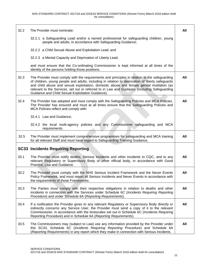| 32.2 | The Provider must nominate:                                                                                                                                                                                                                                                                                                                                                                                                                         | All |
|------|-----------------------------------------------------------------------------------------------------------------------------------------------------------------------------------------------------------------------------------------------------------------------------------------------------------------------------------------------------------------------------------------------------------------------------------------------------|-----|
|      | 32.2.1 a Safeguarding Lead and/or a named professional for safeguarding children, young<br>people and adults, in accordance with Safeguarding Guidance;                                                                                                                                                                                                                                                                                             |     |
|      | 32.2.2 a Child Sexual Abuse and Exploitation Lead; and                                                                                                                                                                                                                                                                                                                                                                                              |     |
|      | 32.2.3 a Mental Capacity and Deprivation of Liberty Lead,                                                                                                                                                                                                                                                                                                                                                                                           |     |
|      | and must ensure that the Co-ordinating Commissioner is kept informed at all times of the<br>identity of the persons holding those positions.                                                                                                                                                                                                                                                                                                        |     |
| 32.3 | The Provider must comply with the requirements and principles in relation to the safeguarding<br>of children, young people and adults, including in relation to deprivation of liberty safeguards<br>and child abuse and sexual exploitation, domestic abuse and female genital mutilation (as<br>relevant to the Services, set out or referred to in Law and Guidance (including Safeguarding<br>Guidance and Child Sexual Exploitation Guidance). | All |
| 32.4 | The Provider has adopted and must comply with the Safeguarding Policies and MCA Policies.<br>The Provider has ensured and must at all times ensure that the Safeguarding Policies and<br>MCA Policies reflect and comply with:                                                                                                                                                                                                                      | All |
|      | 32.4.1 Law and Guidance;                                                                                                                                                                                                                                                                                                                                                                                                                            |     |
|      | 32.4.2 the local multi-agency policies and any Commissioner safeguarding and MCA<br>requirements.                                                                                                                                                                                                                                                                                                                                                   |     |
| 32.5 | The Provider must implement comprehensive programmes for safeguarding and MCA training<br>for all relevant Staff and must have regard to Safeguarding Training Guidance.                                                                                                                                                                                                                                                                            | All |
|      | <b>SC33 Incidents Requiring Reporting</b>                                                                                                                                                                                                                                                                                                                                                                                                           |     |
| 33.1 | The Provider must notify deaths, Serious Incidents and other incidents to CQC, and to any<br>relevant Regulatory or Supervisory Body or other official body, in accordance with Good<br>Practice, Law and Guidance.                                                                                                                                                                                                                                 | All |
| 33.2 | The Provider must comply with the NHS Serious Incident Framework and the Never Events<br>Policy Framework, and must report all Serious Incidents and Never Events in accordance with<br>the requirements of those Frameworks.                                                                                                                                                                                                                       | All |
| 33.3 | The Parties must comply with their respective obligations in relation to deaths and other<br>incidents in connection with the Services under Schedule 6C (Incidents Requiring Reporting<br>Procedure) and under Schedule 6A (Reporting Requirements).                                                                                                                                                                                               | All |
| 33.4 | If a notification the Provider gives to any relevant Regulatory or Supervisory Body directly or<br>indirectly concerns any Service User, the Provider must send a copy of it to the relevant<br>Commissioner, in accordance with the timescales set out in Schedule 6C (Incidents Requiring<br>Reporting Procedure) and in Schedule 6A (Reporting Requirements).                                                                                    | All |
| 33.5 | The Commissioners may (subject to Law) use any information provided by the Provider under<br>this SC33, Schedule 6C (Incidents Requiring Reporting Procedure) and Schedule 6A<br>(Reporting Requirements) in any report which they make in connection with Serious Incidents.                                                                                                                                                                       | All |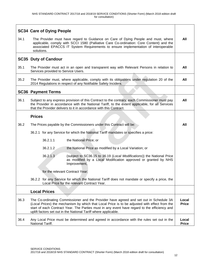|      | <b>SC34 Care of Dying People</b>                                                                                                                                                                                                                                                                                                                           |                       |
|------|------------------------------------------------------------------------------------------------------------------------------------------------------------------------------------------------------------------------------------------------------------------------------------------------------------------------------------------------------------|-----------------------|
| 34.1 | The Provider must have regard to Guidance on Care of Dying People and must, where<br>applicable, comply with SCCI 1580 (Palliative Care Co-ordination: Core Content) and the<br>associated EPACCS IT System Requirements to ensure implementation of interoperable<br>solutions.                                                                           | All                   |
|      | <b>SC35 Duty of Candour</b>                                                                                                                                                                                                                                                                                                                                |                       |
| 35.1 | The Provider must act in an open and transparent way with Relevant Persons in relation to<br>Services provided to Service Users.                                                                                                                                                                                                                           | All                   |
| 35.2 | The Provider must, where applicable, comply with its obligations under regulation 20 of the<br>2014 Regulations in respect of any Notifiable Safety Incident.                                                                                                                                                                                              | All                   |
|      | <b>SC36 Payment Terms</b>                                                                                                                                                                                                                                                                                                                                  |                       |
| 36.1 | Subject to any express provision of this Contract to the contrary, each Commissioner must pay<br>the Provider in accordance with the National Tariff, to the extent applicable, for all Services<br>that the Provider delivers to it in accordance with this Contract.                                                                                     | All                   |
|      | <b>Prices</b>                                                                                                                                                                                                                                                                                                                                              |                       |
| 36.2 | The Prices payable by the Commissioners under this Contract will be:                                                                                                                                                                                                                                                                                       | All                   |
|      | 36.2.1 for any Service for which the National Tariff mandates or specifies a price:                                                                                                                                                                                                                                                                        |                       |
|      | 36.2.1.1<br>the National Price; or                                                                                                                                                                                                                                                                                                                         |                       |
|      | 36.2.1.2<br>the National Price as modified by a Local Variation; or                                                                                                                                                                                                                                                                                        |                       |
|      | 36.2.1.3<br>(subject to SC36.15 to 36.19 (Local Modifications)) the National Price<br>as modified by a Local Modification approved or granted by NHS<br>Improvement,                                                                                                                                                                                       |                       |
|      | for the relevant Contract Year:                                                                                                                                                                                                                                                                                                                            |                       |
|      | 36.2.2 for any Service for which the National Tariff does not mandate or specify a price, the<br>Local Price for the relevant Contract Year.                                                                                                                                                                                                               |                       |
|      | <b>Local Prices</b>                                                                                                                                                                                                                                                                                                                                        |                       |
| 36.3 | The Co-ordinating Commissioner and the Provider have agreed and set out in Schedule 3A<br>(Local Prices) the mechanism by which that Local Price is to be adjusted with effect from the<br>start of each Contract Year. The Parties must in any event have regard to the efficiency and<br>uplift factors set out in the National Tariff where applicable. | Local<br><b>Price</b> |
| 36.4 | Any Local Price must be determined and agreed in accordance with the rules set out in the<br>National Tariff.                                                                                                                                                                                                                                              | Local<br><b>Price</b> |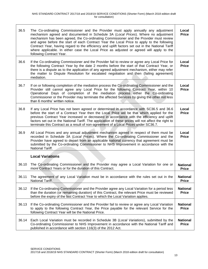| 36.5  | The Co-ordinating Commissioner and the Provider must apply annually any adjustment<br>mechanism agreed and documented in Schedule 3A (Local Prices). Where no adjustment<br>mechanism has been agreed, the Co-ordinating Commissioner and the Provider must review<br>and agree before the start of each Contract Year the Local Price to apply to the following<br>Contract Year, having regard to the efficiency and uplift factors set out in the National Tariff<br>where applicable. In either case the Local Price as adjusted or agreed will apply to the<br>following Contract Year. | Local<br><b>Price</b>           |
|-------|----------------------------------------------------------------------------------------------------------------------------------------------------------------------------------------------------------------------------------------------------------------------------------------------------------------------------------------------------------------------------------------------------------------------------------------------------------------------------------------------------------------------------------------------------------------------------------------------|---------------------------------|
| 36.6  | If the Co-ordinating Commissioner and the Provider fail to review or agree any Local Price for<br>the following Contract Year by the date 2 months before the start of that Contract Year, or<br>there is a dispute as to the application of any agreed adjustment mechanism, either may refer<br>the matter to Dispute Resolution for escalated negotiation and then (failing agreement)<br>mediation.                                                                                                                                                                                      | Local<br><b>Price</b>           |
| 36.7  | If on or following completion of the mediation process the Co-ordinating Commissioner and the<br>Provider still cannot agree any Local Price for the following Contract Year, within 10<br>Operational Days of completion of the mediation process either the Co-ordinating<br>Commissioner or the Provider may terminate the affected Services by giving the other not less<br>than 6 months' written notice.                                                                                                                                                                               | Local<br><b>Price</b>           |
| 36.8  | If any Local Price has not been agreed or determined in accordance with SC36.5 and 36.6<br>before the start of a Contract Year then the Local Price will be that which applied for the<br>previous Contract Year increased or decreased in accordance with the efficiency and uplift<br>factors set out in the National Tariff. The application of these prices will not affect the right to<br>terminate this Contract as a result of non-agreement of a Local Prices under SC36.7.                                                                                                         | Local<br><b>Price</b>           |
| 36.9  | All Local Prices and any annual adjustment mechanism agreed in respect of them must be<br>recorded in Schedule 3A (Local Prices). Where the Co-ordinating Commissioner and the<br>Provider have agreed to depart from an applicable national currency that agreement must be<br>submitted by the Co-ordinating Commissioner to NHS Improvement in accordance with the<br>National Tariff.                                                                                                                                                                                                    | Local<br><b>Price</b>           |
|       | <b>Local Variations</b>                                                                                                                                                                                                                                                                                                                                                                                                                                                                                                                                                                      |                                 |
| 36.10 | The Co-ordinating Commissioner and the Provider may agree a Local Variation for one or<br>more Contract Years or for the duration of this Contract.                                                                                                                                                                                                                                                                                                                                                                                                                                          | <b>National</b><br><b>Price</b> |
|       | 36.11 The agreement of any Local Variation must be in accordance with the rules set out in the<br>National Tariff.                                                                                                                                                                                                                                                                                                                                                                                                                                                                           | <b>National</b><br><b>Price</b> |
| 36.12 | If the Co-ordinating Commissioner and the Provider agree any Local Variation for a period less<br>than the duration (or remaining duration) of this Contract, the relevant Price must be reviewed<br>before the expiry of the last Contract Year to which the Local Variation applies.                                                                                                                                                                                                                                                                                                       | <b>National</b><br><b>Price</b> |
| 36.13 | If the Co-ordinating Commissioner and the Provider fail to review or agree any Local Variation<br>to apply to the following Contract Year, the Price payable for the relevant Service for the<br>following Contract Year will be the National Price.                                                                                                                                                                                                                                                                                                                                         | <b>National</b><br><b>Price</b> |
| 36.14 | Each Local Variation must be recorded in Schedule 3B (Local Variations), submitted by the<br>Co-ordinating Commissioner to NHS Improvement in accordance with the National Tariff and<br>published in accordance with section 116(3) of the 2012 Act.                                                                                                                                                                                                                                                                                                                                        | <b>National</b><br><b>Price</b> |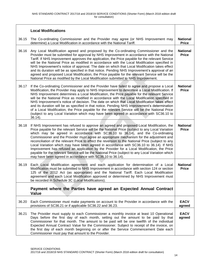|       | <b>Local Modifications</b>                                                                                                                                                                                                                                                                                                                                                                                                                                                                                                                                                                                                                                                                                                                                                                                                                     |                                 |
|-------|------------------------------------------------------------------------------------------------------------------------------------------------------------------------------------------------------------------------------------------------------------------------------------------------------------------------------------------------------------------------------------------------------------------------------------------------------------------------------------------------------------------------------------------------------------------------------------------------------------------------------------------------------------------------------------------------------------------------------------------------------------------------------------------------------------------------------------------------|---------------------------------|
| 36.15 | The Co-ordinating Commissioner and the Provider may agree (or NHS Improvement may<br>determine) a Local Modification in accordance with the National Tariff.                                                                                                                                                                                                                                                                                                                                                                                                                                                                                                                                                                                                                                                                                   | <b>National</b><br><b>Price</b> |
| 36.16 | Any Local Modification agreed and proposed by the Co-ordinating Commissioner and the<br>Provider must be submitted for approval by NHS Improvement in accordance with the National<br>Tariff. If NHS Improvement approves the application, the Price payable for the relevant Service<br>will be the National Price as modified in accordance with the Local Modification specified in<br>NHS Improvement's notice of approval. The date on which that Local Modification takes effect<br>and its duration will be as specified in that notice. Pending NHS Improvement's approval of an<br>agreed and proposed Local Modification, the Price payable for the relevant Service will be the<br>National Price as modified by the Local Modification submitted to NHS Improvement.                                                               | <b>National</b><br><b>Price</b> |
| 36.17 | If the Co-ordinating Commissioner and the Provider have failed to agree and propose a Local<br>Modification, the Provider may apply to NHS Improvement to determine a Local Modification. If<br>NHS Improvement determines a Local Modification, the Price payable for the relevant Service<br>will be the National Price as modified in accordance with the Local Modification specified in<br>NHS Improvement's notice of decision. The date on which that Local Modification takes effect<br>and its duration will be as specified in that notice. Pending NHS Improvement's determination<br>of a Local Modification, the Price payable for the relevant Service will be the National Price<br>(subject to any Local Variation which may have been agreed in accordance with SC36.10 to<br>$36.14$ ).                                      | <b>National</b><br><b>Price</b> |
| 36.18 | If NHS Improvement has refused to approve an agreed and proposed Local Modification, the<br>Price payable for the relevant Service will be the National Price (subject to any Local Variation<br>which may be agreed in accordance with SC36.10 to 36.14), and the Co-ordinating<br>Commissioner and the Provider must agree an appropriate mechanism for the adjustment and<br>reconciliation of the relevant Price to effect the reversion to the National Price (subject to any<br>Local Variation which may have been agreed in accordance with SC36.10 to 36.14). If NHS<br>Improvement has refused an application by the Provider for a Local Modification, the Price<br>payable for the relevant Service will be the National Price (subject to any Local Variation which<br>may have been agreed in accordance with SC36.10 to 36.14). | <b>National</b><br><b>Price</b> |
| 36.19 | Each Local Modification agreement and each application for determination of a Local<br>Modification must be submitted to NHS Improvement in accordance with section 124 or section<br>125 of the 2012 Act (as appropriate) and the National Tariff. Each Local Modification<br>agreement and each Local Modification approved or determined by NHS Improvement must<br>be recorded in Schedule 3C (Local Modifications).                                                                                                                                                                                                                                                                                                                                                                                                                       | <b>National</b><br><b>Price</b> |
|       | Payment where the Parties have agreed an Expected Annual Contract<br><b>Value</b>                                                                                                                                                                                                                                                                                                                                                                                                                                                                                                                                                                                                                                                                                                                                                              |                                 |
| 36.20 | Each Commissioner must make payments on account to the Provider in accordance with the<br>provisions of SC36.21 or if applicable SC36.22 and 36.23.                                                                                                                                                                                                                                                                                                                                                                                                                                                                                                                                                                                                                                                                                            | <b>EACV</b><br>agreed           |
| 36.21 | The Provider must supply to each Commissioner a monthly invoice at least 10 Operational<br>Days before the first day of each month, setting out the amount to be paid by that<br>Commissioner for that month. The amount to be paid will be one twelfth of the individual<br>Expected Annual Contract Value for the Commissioner. Subject to receipt of the invoice, on<br>the first day of each month beginning on or after the Service Commencement Date each<br>Commissioner must pay that amount to the Provider.                                                                                                                                                                                                                                                                                                                          | <b>EACV</b><br>agreed           |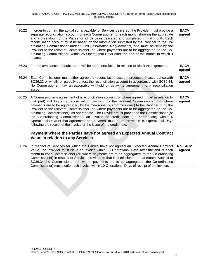| 36.22 | In order to confirm the actual sums payable for Services delivered, the Provider must provide a<br>separate reconciliation account for each Commissioner for each month showing the aggregate<br>and a breakdown of the Prices for all Services delivered and completed in that month. Each<br>reconciliation account must be based on the information submitted by the Provider to the Co-<br>ordinating Commissioner under SC28 (Information Requirements) and must be sent by the<br>Provider to the relevant Commissioner (or, where payments are to be aggregated, to the Co-<br>ordinating Commissioner) within 25 Operational Days after the end of the month to which it<br>relates.                                                     | <b>EACV</b><br>agreed    |
|-------|--------------------------------------------------------------------------------------------------------------------------------------------------------------------------------------------------------------------------------------------------------------------------------------------------------------------------------------------------------------------------------------------------------------------------------------------------------------------------------------------------------------------------------------------------------------------------------------------------------------------------------------------------------------------------------------------------------------------------------------------------|--------------------------|
| 36.23 | For the avoidance of doubt, there will be no reconciliation in relation to Block Arrangements.                                                                                                                                                                                                                                                                                                                                                                                                                                                                                                                                                                                                                                                   | <b>EACV</b><br>agreed    |
| 36.24 | Each Commissioner must either agree the reconciliation account produced in accordance with<br>SC36.22 or wholly or partially contest the reconciliation account in accordance with SC36.34.<br>No Commissioner may unreasonably withhold or delay its agreement to a reconciliation<br>account.                                                                                                                                                                                                                                                                                                                                                                                                                                                  | <b>EACV</b><br>agreed    |
| 36.25 | A Commissioner's agreement of a reconciliation account (or where agreed in part in relation to<br>that part) will trigger a reconciliation payment by the relevant Commissioner (or, where<br>payments are to be aggregated, by the Co-ordinating Commissioner) to the Provider or by the<br>Provider to the relevant Commissioner (or, where payments are to be aggregated, to the Co-<br>ordinating Commissioner), as appropriate. The Provider must provide to the Commissioner (or<br>the Co-ordinating Commissioner) an invoice or credit note (as appropriate) within 5<br>Operational Days of that agreement and payment must be made within 10 Operational Days<br>following the receipt of the invoice or the issue of the credit note. | <b>EACV</b><br>agreed    |
|       | Payment where the Parties have not agreed an Expected Annual Contract<br><b>Value in relation to any Services</b>                                                                                                                                                                                                                                                                                                                                                                                                                                                                                                                                                                                                                                |                          |
| 36.26 | In respect of Services for which the Parties have not agreed an Expected Annual Contract<br>Value, the Provider must issue an invoice within 15 Operational Days after the end of each<br>month to each Commissioner (or, where payments are to be aggregated, to the Co-ordinating<br>Commissioner) in respect of Services provided to that Commissioner in that month. Subject to<br>SC36.34 the Commissioner (or, where payments are to be aggregated, the Co-ordinating<br>Commissioner) must settle each invoice within 10 Operational Days of receipt of the invoice.                                                                                                                                                                      | <b>No EACV</b><br>agreed |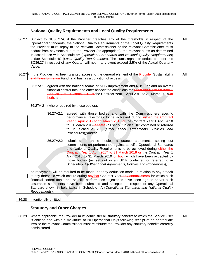|       |                |                        | <b>National Quality Requirements and Local Quality Requirements</b>                                                                                                                                                                                                                                                                                                                                                                                                                                                                                                                                                                                               |     |
|-------|----------------|------------------------|-------------------------------------------------------------------------------------------------------------------------------------------------------------------------------------------------------------------------------------------------------------------------------------------------------------------------------------------------------------------------------------------------------------------------------------------------------------------------------------------------------------------------------------------------------------------------------------------------------------------------------------------------------------------|-----|
| 36.27 | Value.         |                        | Subject to SC36.27A, if the Provider breaches any of the thresholds in respect of the<br>Operational Standards, the National Quality Requirements or the Local Quality Requirements<br>the Provider must repay to the relevant Commissioner or the relevant Commissioner must<br>deduct from payments due to the Provider (as appropriate), the relevant sums as determined<br>in accordance with Schedule 4A (Operational Standards and National Quality Requirements)<br>and/or Schedule 4C (Local Quality Requirements). The sums repaid or deducted under this<br>SC36.27 in respect of any Quarter will not in any event exceed 2.5% of the Actual Quarterly | All |
|       |                |                        | 36.27A If the Provider has been granted access to the general element of the Provider Sustainability<br>and Transformation Fund, and has, as a condition of access:                                                                                                                                                                                                                                                                                                                                                                                                                                                                                               | All |
|       | 36.27A.1       | both, and              | agreed with the national teams of NHS Improvement and NHS England an overall<br>financial control total and other associated conditions for either the Contract Year 1<br>April 2017 to 31 March 2018 or the Contract Year 1 April 2018 to 31 March 2019-or                                                                                                                                                                                                                                                                                                                                                                                                       |     |
|       | 36.27A.2       |                        | (where required by those bodies):                                                                                                                                                                                                                                                                                                                                                                                                                                                                                                                                                                                                                                 |     |
|       |                | 36.27A2.1              | agreed with those bodies and with the Commissioners specific<br>performance trajectories to be achieved during either the Contract<br>Year 1 April 2017 to 31 March 2018 or the Contract Year 1 April 2018<br>to 31 March 2019-or both (as set out in an SDIP contained or referred<br>to in Schedule 2G (Other Local Agreements, Policies and<br>Procedures));and/or                                                                                                                                                                                                                                                                                             |     |
|       |                | 36.27A2.2              | submitted to those bodies assurance statements setting out<br>commitments on performance against specific Operational Standards<br>and National Quality Requirements to be achieved during either the<br>Contract Year 1 April 2017 to 31 March 2018 or the Contract Year 1<br>April 2018 to 31 March 2019 or both which have been accepted by<br>those bodies (as set out in an SDIP contained or referred to in<br>Schedule 2G (Other Local Agreements, Policies and Procedures)),                                                                                                                                                                              |     |
|       | Requirements). |                        | no repayment will be required to be made, nor any deduction made, in relation to any breach<br>of any threshold which occurs during anythat Contract Year-or-Contract Years for which such<br>financial control totals and specific performance trajectories have been agreed and/or such<br>assurance statements have been submitted and accepted in respect of any Operational<br>Standard shown in bold italics in Schedule 4A (Operational Standards and National Quality                                                                                                                                                                                     |     |
| 36.28 |                | Intentionally omitted. |                                                                                                                                                                                                                                                                                                                                                                                                                                                                                                                                                                                                                                                                   |     |
| 36.29 | administered.  |                        | <b>Statutory and Other Charges</b><br>Where applicable, the Provider must administer all statutory benefits to which the Service User<br>is entitled and within a maximum of 20 Operational Days following receipt of an appropriate<br>invoice the relevant Commissioner must reimburse the Provider any statutory benefits correctly                                                                                                                                                                                                                                                                                                                            | All |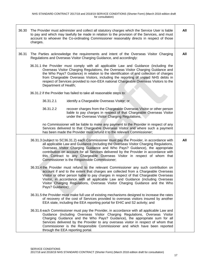| 36.30 | charges.              | The Provider must administer and collect all statutory charges which the Service User is liable<br>to pay and which may lawfully be made in relation to the provision of the Services, and must<br>account to whoever the Co-ordinating Commissioner reasonably directs in respect of those                                                                                                                                                                                              | All |
|-------|-----------------------|------------------------------------------------------------------------------------------------------------------------------------------------------------------------------------------------------------------------------------------------------------------------------------------------------------------------------------------------------------------------------------------------------------------------------------------------------------------------------------------|-----|
| 36.31 |                       | The Parties acknowledge the requirements and intent of the Overseas Visitor Charging<br>Regulations and Overseas Visitor Charging Guidance, and accordingly:                                                                                                                                                                                                                                                                                                                             | All |
|       | Department of Health; | 36.31.1 the Provider must comply with all applicable Law and Guidance (including the<br>Overseas Visitor Charging Regulations, the Overseas Visitor Charging Guidance and<br>the Who Pays? Guidance) in relation to the identification of and collection of charges<br>from Chargeable Overseas Visitors, including the reporting of unpaid NHS debts in<br>respect of Services provided to non-EEA national Chargeable Overseas Visitors to the                                         |     |
|       |                       | 36.31.2 if the Provider has failed to take all reasonable steps to:                                                                                                                                                                                                                                                                                                                                                                                                                      |     |
|       | 36.31.2.1             | identify a Chargeable Overseas Visitor; or                                                                                                                                                                                                                                                                                                                                                                                                                                               |     |
|       | 36.31.2.2             | recover charges from the Chargeable Overseas Visitor or other person<br>liable to pay charges in respect of that Chargeable Overseas Visitor<br>under the Overseas Visitor Charging Regulations,                                                                                                                                                                                                                                                                                         |     |
|       |                       | no Commissioner will be liable to make any payment to the Provider in respect of any<br>Services delivered to that Chargeable Overseas Visitor and where such a payment<br>has been made the Provider must refund it to the relevant Commissioner;                                                                                                                                                                                                                                       |     |
|       |                       | 36.31.3 (subject to SC36.31.2) each Commissioner must pay the Provider, in accordance with<br>all applicable Law and Guidance (including the Overseas Visitor Charging Regulations,<br>Overseas Visitor Charging Guidance and Who Pays? Guidance), the appropriate<br>contribution on account for all Services delivered by the Provider in accordance with<br>this Contract to any Chargeable Overseas Visitor in respect of whom that<br>Commissioner is the Responsible Commissioner; | All |
|       | Pays? Guidance);      | 36.31.4 the Provider must refund to the relevant Commissioner any such contribution on<br>account if and to the extent that charges are collected from a Chargeable Overseas<br>Visitor or other person liable to pay charges in respect of that Chargeable Overseas<br>Visitor, in accordance with all applicable Law and Guidance (including Overseas<br>Visitor Charging Regulations, Overseas Visitor Charging Guidance and the Who                                                  |     |
|       |                       | 36.31.5 the Provider must make full use of existing mechanisms designed to increase the rates<br>of recovery of the cost of Services provided to overseas visitors insured by another<br>EEA state, including the EEA reporting portal for EHIC and S2 activity; and                                                                                                                                                                                                                     |     |
|       |                       | 36.31.6 each Commissioner must pay the Provider, in accordance with all applicable Law and<br>Guidance (including Overseas Visitor Charging Regulations, Overseas Visitor<br>Charging Guidance and the Who Pays? Guidance), the appropriate sum for all<br>Services delivered by the Provider to any overseas visitor in respect of whom that<br>Commissioner is the Responsible Commissioner and which have been reported<br>through the EEA reporting portal.                          |     |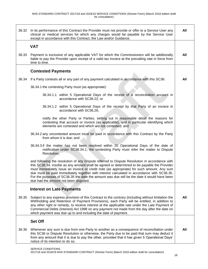| 36.32 | In its performance of this Contract the Provider must not provide or offer to a Service User any<br>clinical or medical services for which any charges would be payable by the Service User<br>except in accordance with this Contract, the Law and/or Guidance.                                                                                                                                                                                                                                                                  | All |
|-------|-----------------------------------------------------------------------------------------------------------------------------------------------------------------------------------------------------------------------------------------------------------------------------------------------------------------------------------------------------------------------------------------------------------------------------------------------------------------------------------------------------------------------------------|-----|
|       | <b>VAT</b>                                                                                                                                                                                                                                                                                                                                                                                                                                                                                                                        |     |
| 36.33 | Payment is exclusive of any applicable VAT for which the Commissioners will be additionally<br>liable to pay the Provider upon receipt of a valid tax invoice at the prevailing rate in force from<br>time to time.                                                                                                                                                                                                                                                                                                               | All |
|       | <b>Contested Payments</b>                                                                                                                                                                                                                                                                                                                                                                                                                                                                                                         |     |
| 36.34 | If a Party contests all or any part of any payment calculated in accordance with this SC36:                                                                                                                                                                                                                                                                                                                                                                                                                                       | All |
|       | 36.34.1 the contesting Party must (as appropriate):                                                                                                                                                                                                                                                                                                                                                                                                                                                                               |     |
|       | 36.34.1.1 within 5 Operational Days of the receipt of a reconciliation account in<br>accordance with SC36.22; or                                                                                                                                                                                                                                                                                                                                                                                                                  |     |
|       | 36.34.1.2 within 5 Operational Days of the receipt by that Party of an invoice in<br>accordance with SC36.26,                                                                                                                                                                                                                                                                                                                                                                                                                     |     |
|       | notify the other Party or Parties, setting out in reasonable detail the reasons for<br>contesting that account or invoice (as applicable), and in particular identifying which<br>elements are contested and which are not contested; and                                                                                                                                                                                                                                                                                         |     |
|       | 36.34.2 any uncontested amount must be paid in accordance with this Contract by the Party<br>from whom it is due; and                                                                                                                                                                                                                                                                                                                                                                                                             |     |
|       | 36.34.3 if the matter has not been resolved within 20 Operational Days of the date of<br>notification under SC36.34.1, the contesting Party must refer the matter to Dispute<br>Resolution,                                                                                                                                                                                                                                                                                                                                       |     |
|       | and following the resolution of any Dispute referred to Dispute Resolution in accordance with<br>this SC36.34, insofar as any amount shall be agreed or determined to be payable the Provider<br>must immediately issue an invoice or credit note (as appropriate) for such amount. Any sum<br>due must be paid immediately together with interest calculated in accordance with SC36.35.<br>For the purposes of SC36.35 the date the amount was due will be the date it would have been<br>due had the amount not been disputed. |     |
|       | <b>Interest on Late Payments</b>                                                                                                                                                                                                                                                                                                                                                                                                                                                                                                  |     |
| 36.35 | Subject to any express provision of this Contract to the contrary (including without limitation the<br>Withholding and Retention of Payment Provisions), each Party will be entitled, in addition to<br>any other right or remedy, to receive interest at the applicable rate under the Late Payment of<br>Commercial Debts (Interest) Act 1998 on any payment not made from the day after the date on<br>which payment was due up to and including the date of payment.                                                          | All |
|       | <b>Set Off</b>                                                                                                                                                                                                                                                                                                                                                                                                                                                                                                                    |     |
| 36.36 | Whenever any sum is due from one Party to another as a consequence of reconciliation under<br>this SC36 or Dispute Resolution or otherwise, the Party due to be paid that sum may deduct it<br>from any amount that it is due to pay the other, provided that it has given 5 Operational Days'<br>notice of its intention to do so.                                                                                                                                                                                               | All |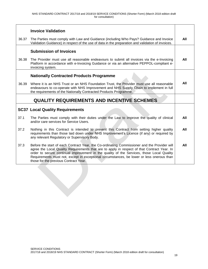|       | <b>Invoice Validation</b>                                                                                                                                                                                                                                 |     |
|-------|-----------------------------------------------------------------------------------------------------------------------------------------------------------------------------------------------------------------------------------------------------------|-----|
| 36.37 | The Parties must comply with Law and Guidance (including Who Pays? Guidance and Invoice<br>Validation Guidance) in respect of the use of data in the preparation and validation of invoices.                                                              | All |
|       | <b>Submission of Invoices</b>                                                                                                                                                                                                                             |     |
| 36.38 | The Provider must use all reasonable endeavours to submit all invoices via the e-Invoicing<br>Platform in accordance with e-Invoicing Guidance or via an alternative PEPPOL-compliant e-<br>invoicing system.                                             | All |
|       | <b>Nationally Contracted Products Programme</b>                                                                                                                                                                                                           |     |
| 36.39 | Where it is an NHS Trust or an NHS Foundation Trust, the Provider must use all reasonable<br>endeavours to co-operate with NHS Improvement and NHS Supply Chain to implement in full<br>the requirements of the Nationally Contracted Products Programme. | All |
|       |                                                                                                                                                                                                                                                           |     |
|       | <b>QUALITY REQUIREMENTS AND INCENTIVE SCHEMES</b>                                                                                                                                                                                                         |     |
|       | <b>SC37 Local Quality Requirements</b>                                                                                                                                                                                                                    |     |
| 37.1  | The Parties must comply with their duties under the Law to improve the quality of clinical<br>and/or care services for Service Users.                                                                                                                     | All |
| 37.2  | Nothing in this Contract is intended to prevent this Contract from setting higher quality<br>requirements than those laid down under NHS Improvement's Licence (if any) or required by<br>any relevant Regulatory or Supervisory Body.                    | All |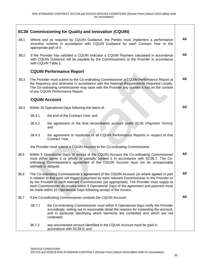Г

|      |                                                                                                                                                                                                                                                                                                                                                                                                                                                                  | <b>SC38 Commissioning for Quality and Innovation (CQUIN)</b>                                                                                                                                                                                                                                                               |     |
|------|------------------------------------------------------------------------------------------------------------------------------------------------------------------------------------------------------------------------------------------------------------------------------------------------------------------------------------------------------------------------------------------------------------------------------------------------------------------|----------------------------------------------------------------------------------------------------------------------------------------------------------------------------------------------------------------------------------------------------------------------------------------------------------------------------|-----|
| 38.1 |                                                                                                                                                                                                                                                                                                                                                                                                                                                                  | Where and as required by CQUIN Guidance, the Parties must implement a performance<br>incentive scheme in accordance with CQUIN Guidance for each Contract Year or the<br>appropriate part of it.                                                                                                                           | All |
| 38.2 |                                                                                                                                                                                                                                                                                                                                                                                                                                                                  | If the Provider has satisfied a CQUIN Indicator a CQUIN Payment calculated in accordance<br>with CQUIN Guidance will be payable by the Commissioners to the Provider in accordance<br>with CQUIN Table 1.                                                                                                                  | All |
|      |                                                                                                                                                                                                                                                                                                                                                                                                                                                                  | <b>CQUIN Performance Report</b>                                                                                                                                                                                                                                                                                            |     |
| 38.3 |                                                                                                                                                                                                                                                                                                                                                                                                                                                                  | The Provider must submit to the Co-ordinating Commissioner a CQUIN Performance Report at<br>the frequency and otherwise in accordance with the National Requirements Reported Locally.<br>The Co-ordinating commissioner may raise with the Provider any queries it has on the content<br>of any CQUIN Performance Report. | All |
|      |                                                                                                                                                                                                                                                                                                                                                                                                                                                                  | <b>CQUIN Account</b>                                                                                                                                                                                                                                                                                                       |     |
| 38.4 |                                                                                                                                                                                                                                                                                                                                                                                                                                                                  | Within 20 Operational Days following the latest of:                                                                                                                                                                                                                                                                        | All |
|      | 38.4.1                                                                                                                                                                                                                                                                                                                                                                                                                                                           | the end of the Contract Year; and                                                                                                                                                                                                                                                                                          |     |
|      | 38.4.2                                                                                                                                                                                                                                                                                                                                                                                                                                                           | the agreement of the final reconciliation account under SC36 (Payment Terms);<br>and                                                                                                                                                                                                                                       |     |
|      | 38.4.3                                                                                                                                                                                                                                                                                                                                                                                                                                                           | the agreement or resolution of all CQUIN Performance Reports in respect of that<br>Contract Year,                                                                                                                                                                                                                          |     |
|      |                                                                                                                                                                                                                                                                                                                                                                                                                                                                  | the Provider must submit a CQUIN Account to the Co-ordinating Commissioner.                                                                                                                                                                                                                                                |     |
| 38.5 | Within 5 Operational Days of receipt of the CQUIN Account the Co-ordinating Commissioner<br>must either agree it or wholly or partially contest it in accordance with SC38.7. The Co-<br>ordinating Commissioner's agreement of the CQUIN Account must not be unreasonably<br>withheld or delayed.                                                                                                                                                               |                                                                                                                                                                                                                                                                                                                            | All |
| 38.6 | The Co-ordinating Commissioner's agreement of the CQUIN Account (or where agreed in part<br>in relation to that part) will trigger a payment by each relevant Commissioner to the Provider or<br>by the Provider to each relevant Commissioner (as appropriate). The Provider must supply to<br>each Commissioner an invoice within 5 Operational Days of the agreement and payment must<br>be made within 10 Operational Days following receipt of the invoice. |                                                                                                                                                                                                                                                                                                                            | All |
| 38.7 |                                                                                                                                                                                                                                                                                                                                                                                                                                                                  | If the Co-ordinating Commissioner contests the CQUIN Account:                                                                                                                                                                                                                                                              | All |
|      | 38.7.1                                                                                                                                                                                                                                                                                                                                                                                                                                                           | the Co-ordinating Commissioner must within 5 Operational Days notify the Provider<br>accordingly, setting out in reasonable detail the reasons for contesting the account,<br>and in particular identifying which elements are contested and which are not<br>contested;                                                   |     |
|      | 38.7.2                                                                                                                                                                                                                                                                                                                                                                                                                                                           | any uncontested amount identified in the CQUIN Account must be paid in<br>accordance with SC38.6; and                                                                                                                                                                                                                      |     |